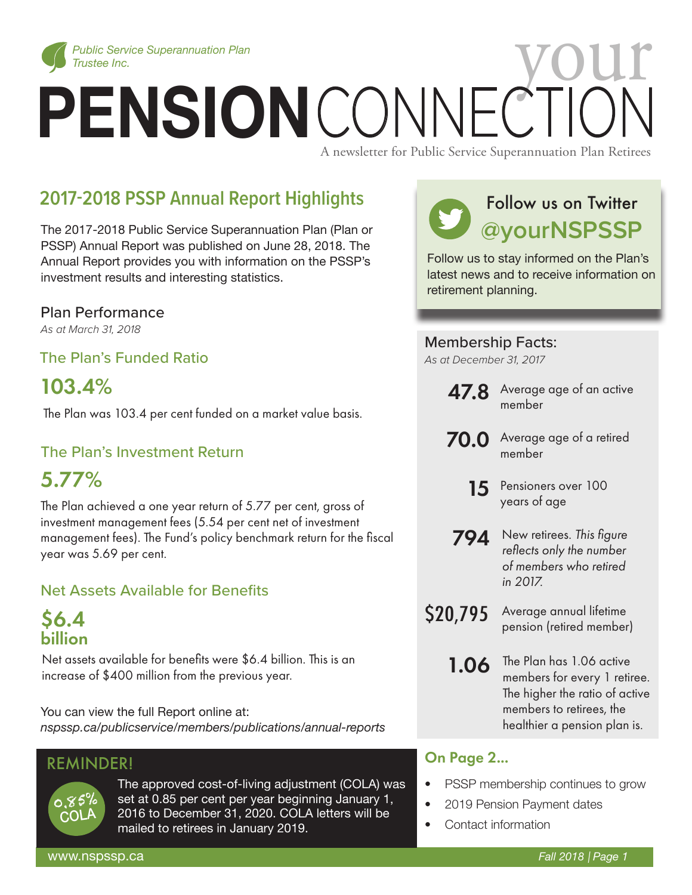

# *Public Service Superannuation Plan*<br> **PENSION** CONNECTION CONNECTION

A newsletter for Public Service Superannuation Plan Retirees

# **2017-2018 PSSP Annual Report Highlights**

The 2017-2018 Public Service Superannuation Plan (Plan or PSSP) Annual Report was published on June 28, 2018. The Annual Report provides you with information on the PSSP's investment results and interesting statistics.

#### Plan Performance

*As at March 31, 2018*

The Plan's Funded Ratio

# 103.4%

The Plan was 103.4 per cent funded on a market value basis.

#### The Plan's Investment Return

# 5.77%

The Plan achieved a one year return of 5.77 per cent, gross of investment management fees (5.54 per cent net of investment management fees). The Fund's policy benchmark return for the fiscal year was 5.69 per cent.

## Net Assets Available for Benefits

\$6.4 billion

Net assets available for benefits were \$6.4 billion. This is an increase of \$400 million from the previous year.

You can view the full Report online at: *nspssp.ca/publicservice/members/publications/annual-reports*

## REMINDER!



The approved cost-of-living adjustment (COLA) was set at 0.85 per cent per year beginning January 1, 2016 to December 31, 2020. COLA letters will be mailed to retirees in January 2019.



Follow us to stay informed on the Plan's latest news and to receive information on retirement planning.

#### Membership Facts:

*As at December 31, 2017*

- **47.8** Average age of an active member 70.0 Average age of a retired
	- member
	- **15** Pensioners over 100 years of age
- New retirees. *This figure*  794 *reflects only the number of members who retired in 2017.*
- \$20,795 Average annual lifetime<br>pension (retired member)
	- The Plan has 1.06 active members for every 1 retiree. The higher the ratio of active members to retirees, the healthier a pension plan is. 1.06

## On Page 2...

- PSSP membership continues to grow
- 2019 Pension Payment dates
- Contact information